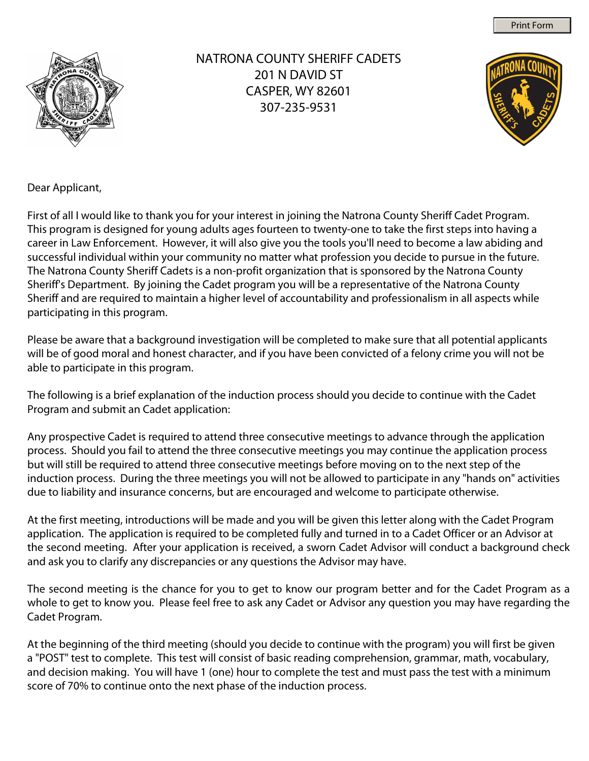Print Form



NATRONA COUNTY SHERIFF CADETS 201 N DAVID ST CASPER, WY 82601 307-235-9531



Dear Applicant,

First of all I would like to thank you for your interest in joining the Natrona County Sheriff Cadet Program. This program is designed for young adults ages fourteen to twenty-one to take the first steps into having a career in Law Enforcement. However, it will also give you the tools you'll need to become a law abiding and successful individual within your community no matter what profession you decide to pursue in the future. The Natrona County Sheriff Cadets is a non-profit organization that is sponsored by the Natrona County Sheriff's Department. By joining the Cadet program you will be a representative of the Natrona County Sheriff and are required to maintain a higher level of accountability and professionalism in all aspects while participating in this program.

Please be aware that a background investigation will be completed to make sure that all potential applicants will be of good moral and honest character, and if you have been convicted of a felony crime you will not be able to participate in this program.

The following is a brief explanation of the induction process should you decide to continue with the Cadet Program and submit an Cadet application:

Any prospective Cadet is required to attend three consecutive meetings to advance through the application process. Should you fail to attend the three consecutive meetings you may continue the application process but will still be required to attend three consecutive meetings before moving on to the next step of the induction process. During the three meetings you will not be allowed to participate in any "hands on" activities due to liability and insurance concerns, but are encouraged and welcome to participate otherwise.

At the first meeting, introductions will be made and you will be given this letter along with the Cadet Program application. The application is required to be completed fully and turned in to a Cadet Officer or an Advisor at the second meeting. After your application is received, a sworn Cadet Advisor will conduct a background check and ask you to clarify any discrepancies or any questions the Advisor may have.

The second meeting is the chance for you to get to know our program better and for the Cadet Program as a whole to get to know you. Please feel free to ask any Cadet or Advisor any question you may have regarding the Cadet Program.

At the beginning of the third meeting (should you decide to continue with the program) you will first be given a "POST" test to complete. This test will consist of basic reading comprehension, grammar, math, vocabulary, and decision making. You will have 1 (one) hour to complete the test and must pass the test with a minimum score of 70% to continue onto the next phase of the induction process.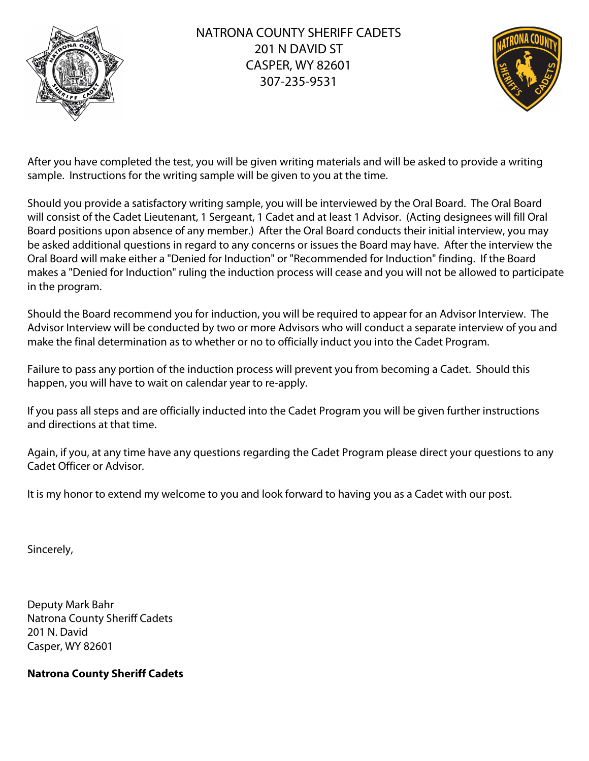

## NATRONA COUNTY SHERIFF CADETS 201 N DAVID ST CASPER, WY 82601 307-235-9531



After you have completed the test, you will be given writing materials and will be asked to provide a writing sample. Instructions for the writing sample will be given to you at the time.

Should you provide a satisfactory writing sample, you will be interviewed by the Oral Board. The Oral Board will consist of the Cadet Lieutenant, 1 Sergeant, 1 Cadet and at least 1 Advisor. (Acting designees will fill Oral Board positions upon absence of any member.) After the Oral Board conducts their initial interview, you may be asked additional questions in regard to any concerns or issues the Board may have. After the interview the Oral Board will make either a "Denied for Induction" or "Recommended for Induction" finding. If the Board makes a "Denied for Induction" ruling the induction process will cease and you will not be allowed to participate in the program.

Should the Board recommend you for induction, you will be required to appear for an Advisor Interview. The Advisor Interview will be conducted by two or more Advisors who will conduct a separate interview of you and make the final determination as to whether or no to officially induct you into the Cadet Program.

Failure to pass any portion of the induction process will prevent you from becoming a Cadet. Should this happen, you will have to wait on calendar year to re-apply.

If you pass all steps and are officially inducted into the Cadet Program you will be given further instructions and directions at that time.

Again, if you, at any time have any questions regarding the Cadet Program please direct your questions to any Cadet Officer or Advisor.

It is my honor to extend my welcome to you and look forward to having you as a Cadet with our post.

Sincerely,

Deputy Mark Bahr Natrona County Sheriff Cadets 201 N. David Casper, WY 82601

#### **Natrona County Sheriff Cadets**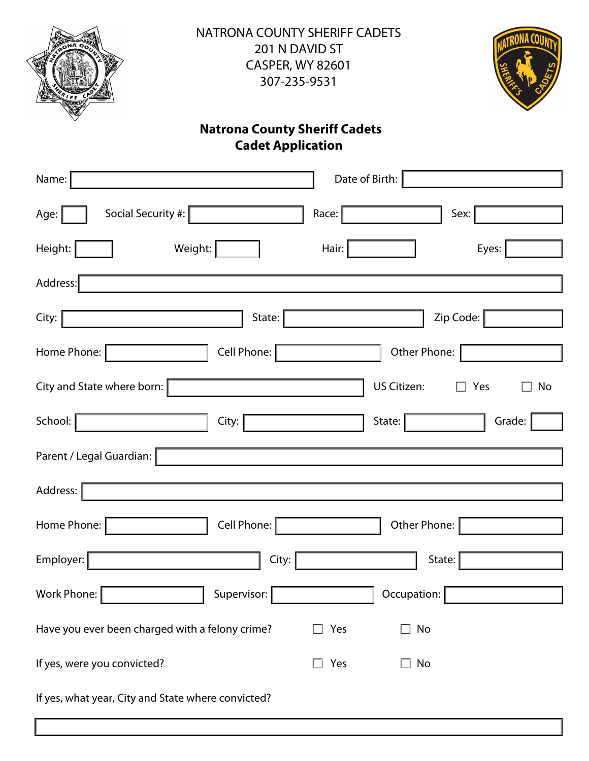

NATRONA COUNTY SHERIFF CADETS 201 N DAVID ST CASPER, WY 82601 307-235-9531



# **Cadet Application Natrona County Sheriff Cadets**

| Name:                                              | Date of Birth:                  |
|----------------------------------------------------|---------------------------------|
| Social Security #:  <br>Age:                       | Race:<br>Sex:                   |
| Height:<br>Weight:                                 | Hair:<br>Eyes:                  |
| Address:                                           |                                 |
| City:<br>State:                                    | Zip Code:                       |
| Cell Phone:  <br>Home Phone:                       | Other Phone:                    |
| City and State where born:                         | US Citizen:<br>$\Box$ Yes<br>No |
| School:  <br>City:                                 | State:<br>Grade:                |
| Parent / Legal Guardian:                           |                                 |
| Address:                                           |                                 |
| Cell Phone:  <br>Home Phone:                       | Other Phone:                    |
| Employer:<br>City:                                 | State:                          |
| Work Phone:<br>Supervisor:                         | Occupation:                     |
| Have you ever been charged with a felony crime?    | Yes<br>No<br>$\mathbf{I}$       |
| If yes, were you convicted?                        | Yes<br>No                       |
| If yes, what year, City and State where convicted? |                                 |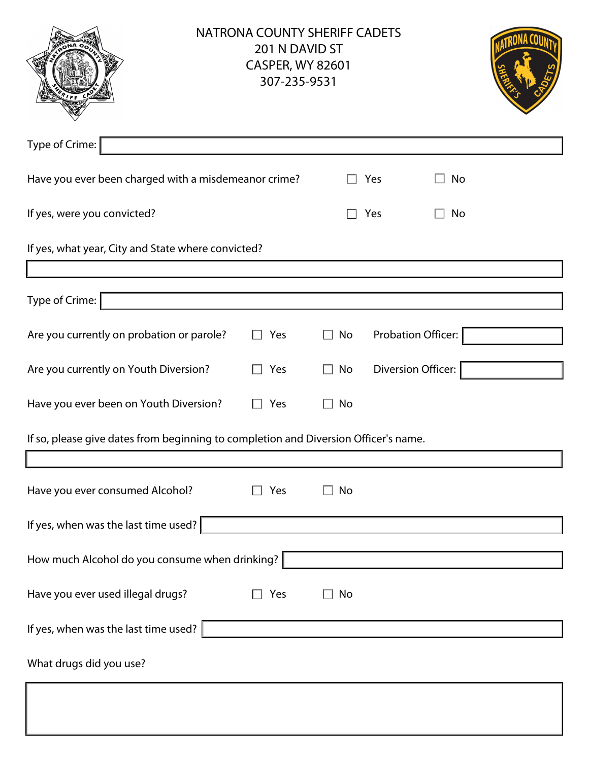|                                                                                     | <b>NATRONA COUNTY SHERIFF CADETS</b><br>201 N DAVID ST<br><b>CASPER, WY 82601</b><br>307-235-9531 |    |     |                    |  |
|-------------------------------------------------------------------------------------|---------------------------------------------------------------------------------------------------|----|-----|--------------------|--|
| Type of Crime:                                                                      |                                                                                                   |    |     |                    |  |
| Have you ever been charged with a misdemeanor crime?                                |                                                                                                   |    | Yes | No                 |  |
| If yes, were you convicted?                                                         |                                                                                                   |    | Yes | No                 |  |
| If yes, what year, City and State where convicted?                                  |                                                                                                   |    |     |                    |  |
|                                                                                     |                                                                                                   |    |     |                    |  |
| Type of Crime:                                                                      |                                                                                                   |    |     |                    |  |
| Are you currently on probation or parole?                                           | Yes                                                                                               | No |     | Probation Officer: |  |
| Are you currently on Youth Diversion?                                               | Yes                                                                                               | No |     | Diversion Officer: |  |
| Have you ever been on Youth Diversion?                                              | Yes<br>$\Box$                                                                                     | No |     |                    |  |
| If so, please give dates from beginning to completion and Diversion Officer's name. |                                                                                                   |    |     |                    |  |
|                                                                                     |                                                                                                   |    |     |                    |  |
| Have you ever consumed Alcohol?                                                     | Yes                                                                                               | No |     |                    |  |
| If yes, when was the last time used?                                                |                                                                                                   |    |     |                    |  |
| How much Alcohol do you consume when drinking?                                      |                                                                                                   |    |     |                    |  |
| Have you ever used illegal drugs?                                                   | Yes                                                                                               | No |     |                    |  |
| If yes, when was the last time used?                                                |                                                                                                   |    |     |                    |  |
| What drugs did you use?                                                             |                                                                                                   |    |     |                    |  |
|                                                                                     |                                                                                                   |    |     |                    |  |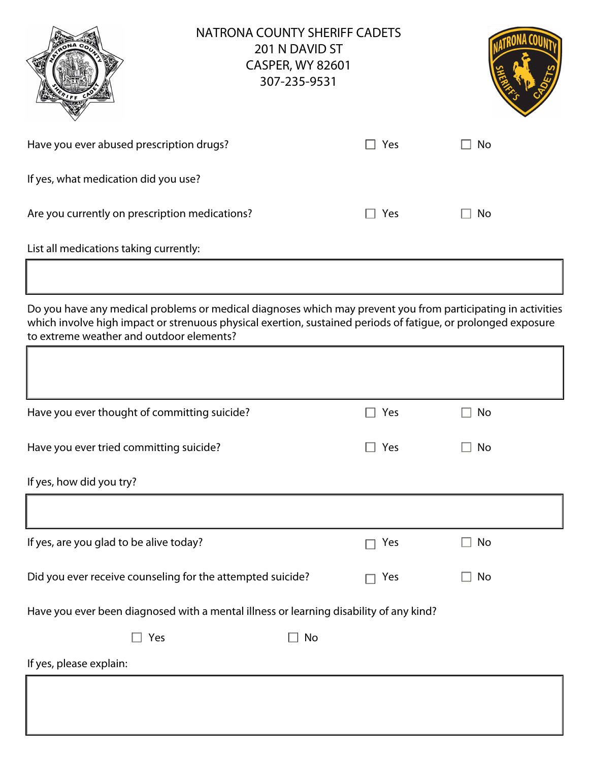|                                                                                                                                                                                                                                                                           | <b>NATRONA COUNTY SHERIFF CADETS</b> | 201 N DAVID ST<br><b>CASPER, WY 82601</b><br>307-235-9531 |            |           |
|---------------------------------------------------------------------------------------------------------------------------------------------------------------------------------------------------------------------------------------------------------------------------|--------------------------------------|-----------------------------------------------------------|------------|-----------|
| Have you ever abused prescription drugs?                                                                                                                                                                                                                                  |                                      |                                                           | Yes        | No        |
| If yes, what medication did you use?                                                                                                                                                                                                                                      |                                      |                                                           |            |           |
| Are you currently on prescription medications?                                                                                                                                                                                                                            |                                      |                                                           | Yes        | No        |
| List all medications taking currently:                                                                                                                                                                                                                                    |                                      |                                                           |            |           |
|                                                                                                                                                                                                                                                                           |                                      |                                                           |            |           |
| Do you have any medical problems or medical diagnoses which may prevent you from participating in activities<br>which involve high impact or strenuous physical exertion, sustained periods of fatigue, or prolonged exposure<br>to extreme weather and outdoor elements? |                                      |                                                           |            |           |
|                                                                                                                                                                                                                                                                           |                                      |                                                           |            |           |
| Have you ever thought of committing suicide?                                                                                                                                                                                                                              |                                      |                                                           | Yes        | No        |
| Have you ever tried committing suicide?                                                                                                                                                                                                                                   |                                      |                                                           | $\Box$ Yes | $\Box$ No |
| If yes, how did you try?                                                                                                                                                                                                                                                  |                                      |                                                           |            |           |
|                                                                                                                                                                                                                                                                           |                                      |                                                           |            |           |
| If yes, are you glad to be alive today?                                                                                                                                                                                                                                   |                                      |                                                           | Yes        | No        |
| Did you ever receive counseling for the attempted suicide?                                                                                                                                                                                                                |                                      |                                                           | Yes        | No        |
| Have you ever been diagnosed with a mental illness or learning disability of any kind?                                                                                                                                                                                    |                                      |                                                           |            |           |
| Yes                                                                                                                                                                                                                                                                       |                                      | No                                                        |            |           |
| If yes, please explain:                                                                                                                                                                                                                                                   |                                      |                                                           |            |           |
|                                                                                                                                                                                                                                                                           |                                      |                                                           |            |           |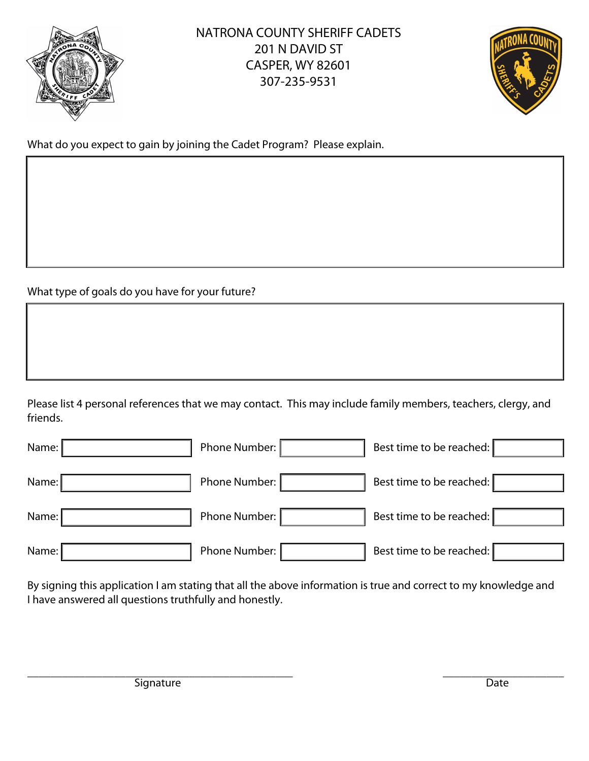



What do you expect to gain by joining the Cadet Program? Please explain.

What type of goals do you have for your future?

Please list 4 personal references that we may contact. This may include family members, teachers, clergy, and friends.

| Name: | Phone Number: | Best time to be reached: |
|-------|---------------|--------------------------|
| Name: | Phone Number: | Best time to be reached: |
| Name: | Phone Number: | Best time to be reached: |
| Name: | Phone Number: | Best time to be reached: |

By signing this application I am stating that all the above information is true and correct to my knowledge and I have answered all questions truthfully and honestly.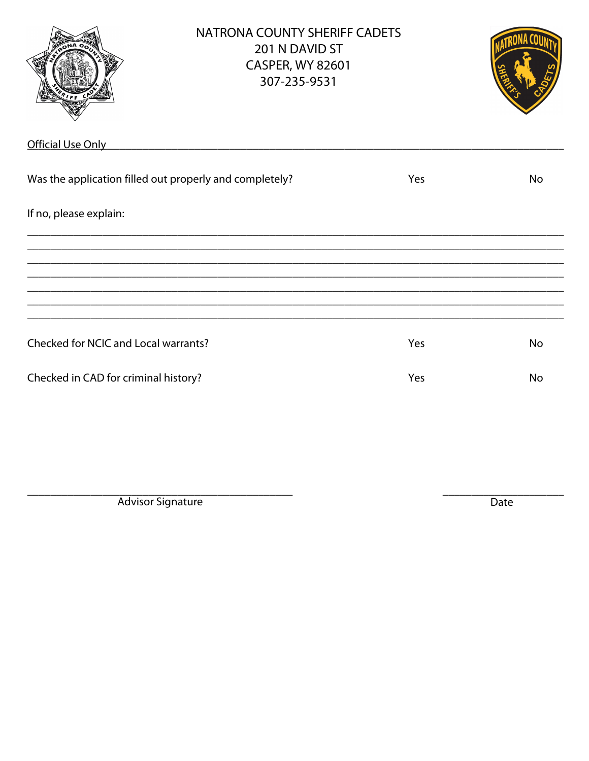|                                                         | <b>NATRONA COUNTY SHERIFF CADETS</b><br>201 N DAVID ST<br><b>CASPER, WY 82601</b><br>307-235-9531 |     |           |
|---------------------------------------------------------|---------------------------------------------------------------------------------------------------|-----|-----------|
| Official Use Only                                       | <u> 1989 - John Stein, mars and de Barbara (b. 1989)</u>                                          |     |           |
| Was the application filled out properly and completely? |                                                                                                   | Yes | <b>No</b> |
| If no, please explain:                                  |                                                                                                   |     |           |
|                                                         |                                                                                                   |     |           |
|                                                         |                                                                                                   |     |           |
|                                                         |                                                                                                   |     |           |
| Checked for NCIC and Local warrants?                    |                                                                                                   | Yes | <b>No</b> |
| Checked in CAD for criminal history?                    |                                                                                                   | Yes | <b>No</b> |

Advisor Signature

Date